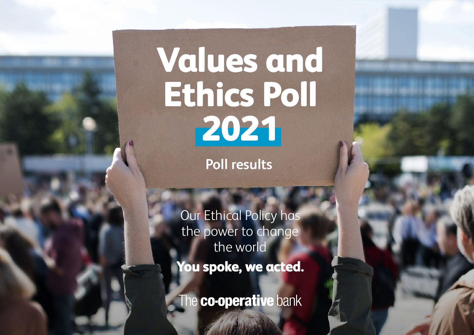# **Values and Ethics Poll 2021**

**Poll results**

Our Ethical Policy has the power to change the world **You spoke, we acted.**

he **co-operative** bank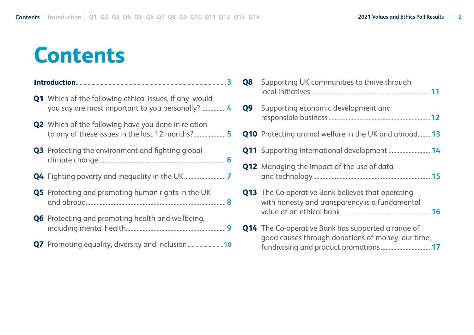# <span id="page-1-0"></span>**Contents**

|  | <b>Q1</b> Which of the following ethical issues, if any, would                                               |  |
|--|--------------------------------------------------------------------------------------------------------------|--|
|  | <b>Q2</b> Which of the following have you done in relation<br>to any of these issues in the last 12 months?5 |  |
|  | <b>Q3</b> Protecting the environment and fighting global                                                     |  |
|  |                                                                                                              |  |
|  | Q5 Protecting and promoting human rights in the UK                                                           |  |
|  | <b>Q6</b> Protecting and promoting health and wellbeing,                                                     |  |
|  |                                                                                                              |  |

| Q <sub>8</sub> | Supporting UK communities to thrive through                                                                    |  |
|----------------|----------------------------------------------------------------------------------------------------------------|--|
| Q9             | Supporting economic development and                                                                            |  |
|                | <b>Q10</b> Protecting animal welfare in the UK and abroad 13                                                   |  |
|                | <b>Q11</b> Supporting international development  14                                                            |  |
|                | <b>Q12</b> Managing the impact of the use of data                                                              |  |
|                | <b>Q13</b> The Co-operative Bank believes that operating<br>with honesty and transparency is a fundamental     |  |
|                | <b>Q14</b> The Co-operative Bank has supported a range of<br>good causes through donations of money, our time, |  |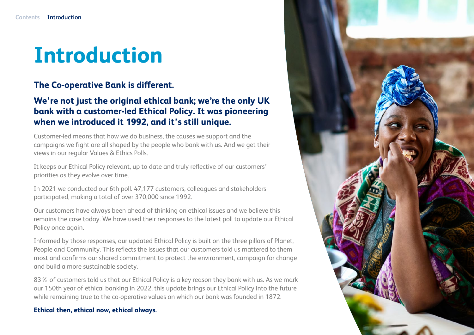# <span id="page-2-0"></span>**Introduction**

#### **The Co-operative Bank is different.**

#### **We're not just the original ethical bank; we're the only UK bank with a customer-led Ethical Policy. It was pioneering when we introduced it 1992, and it's still unique.**

Customer-led means that how we do business, the causes we support and the campaigns we fight are all shaped by the people who bank with us. And we get their views in our regular Values & Ethics Polls.

It keeps our Ethical Policy relevant, up to date and truly reflective of our customers' priorities as they evolve over time.

In 2021 we conducted our 6th poll. 47,177 customers, colleagues and stakeholders participated, making a total of over 370,000 since 1992.

Our customers have always been ahead of thinking on ethical issues and we believe this remains the case today. We have used their responses to the latest poll to update our Ethical Policy once again.

Informed by those responses, our updated Ethical Policy is built on the three pillars of Planet, People and Community. This reflects the issues that our customers told us mattered to them most and confirms our shared commitment to protect the environment, campaign for change and build a more sustainable society.

83% of customers told us that our Ethical Policy is a key reason they bank with us. As we mark our 150th year of ethical banking in 2022, this update brings our Ethical Policy into the future while remaining true to the co-operative values on which our bank was founded in 1872.

#### **Ethical then, ethical now, ethical always.**

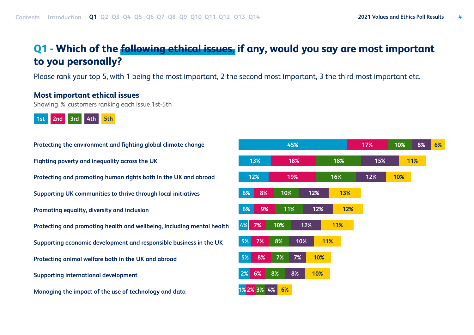#### <span id="page-3-0"></span>**Q1 - Which of the following ethical issues, if any, would you say are most important to you personally?**

Please rank your top 5, with 1 being the most important, 2 the second most important, 3 the third most important etc.

#### **Most important ethical issues**

Showing % customers ranking each issue 1st-5th



**Protecting the environment and fighting global climate change Fighting poverty and inequality across the UK Protecting and promoting human rights both in the UK and abroad Supporting UK communities to thrive through local initiatives Promoting equality, diversity and inclusion Protecting and promoting health and wellbeing, including mental health Supporting economic development and responsible business in the UK Protecting animal welfare both in the UK and abroad Supporting international development Managing the impact of the use of technology and data**

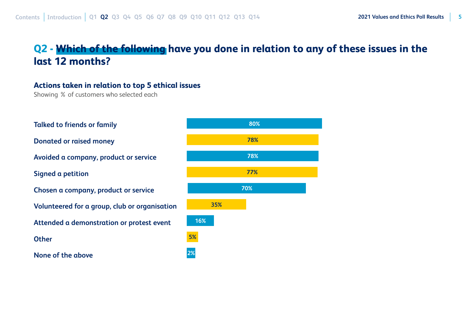## <span id="page-4-0"></span>**Q2 - Which of the following have you done in relation to any of these issues in the last 12 months?**

#### **Actions taken in relation to top 5 ethical issues**

Showing % of customers who selected each

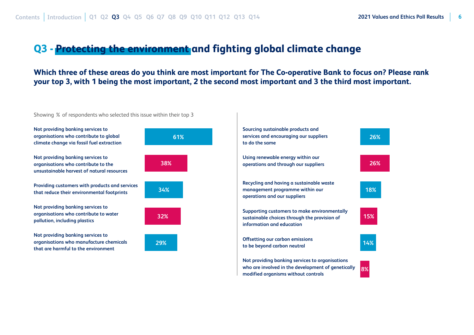#### <span id="page-5-0"></span>**Q3 - Protecting the environment and fighting global climate change**

**Which three of these areas do you think are most important for The Co-operative Bank to focus on? Please rank your top 3, with 1 being the most important, 2 the second most important and 3 the third most important.**

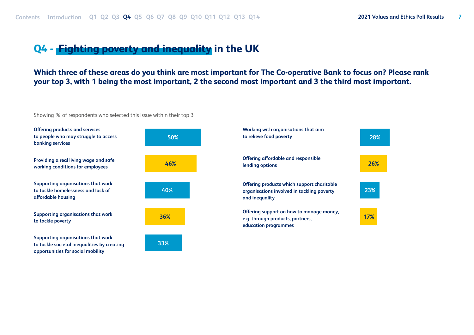#### <span id="page-6-0"></span>**Q4 - Fighting poverty and inequality in the UK**

**Which three of these areas do you think are most important for The Co-operative Bank to focus on? Please rank your top 3, with 1 being the most important, 2 the second most important and 3 the third most important.**

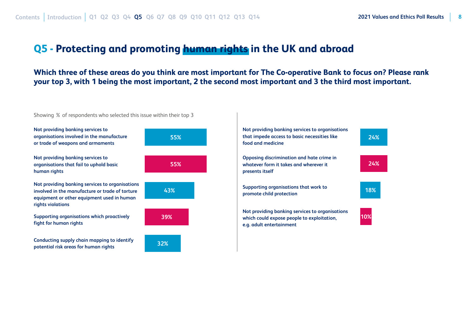#### <span id="page-7-0"></span>**Q5 - Protecting and promoting human rights in the UK and abroad**

**Which three of these areas do you think are most important for The Co-operative Bank to focus on? Please rank your top 3, with 1 being the most important, 2 the second most important and 3 the third most important.**

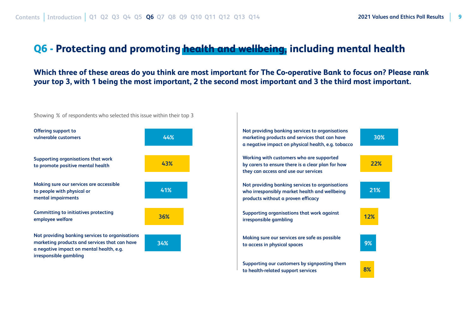#### <span id="page-8-0"></span>**Q6 - Protecting and promoting health and wellbeing, including mental health**

**Which three of these areas do you think are most important for The Co-operative Bank to focus on? Please rank your top 3, with 1 being the most important, 2 the second most important and 3 the third most important.**

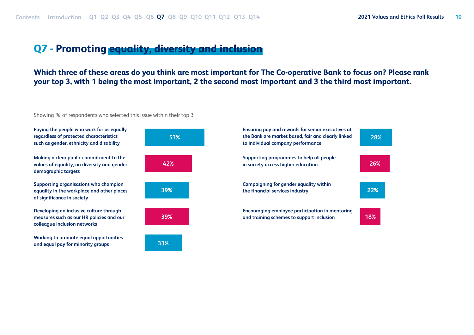#### <span id="page-9-0"></span>**Q7 - Promoting equality, diversity and inclusion**

**Which three of these areas do you think are most important for The Co-operative Bank to focus on? Please rank your top 3, with 1 being the most important, 2 the second most important and 3 the third most important.**



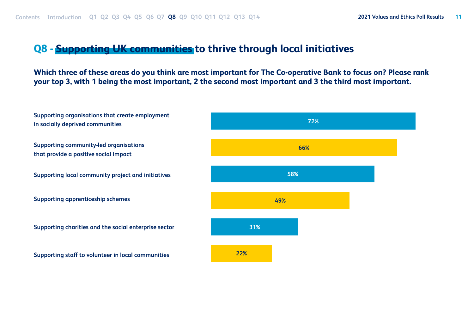#### <span id="page-10-0"></span>**Q8 - Supporting UK communities to thrive through local initiatives**

**Which three of these areas do you think are most important for The Co-operative Bank to focus on? Please rank your top 3, with 1 being the most important, 2 the second most important and 3 the third most important.**

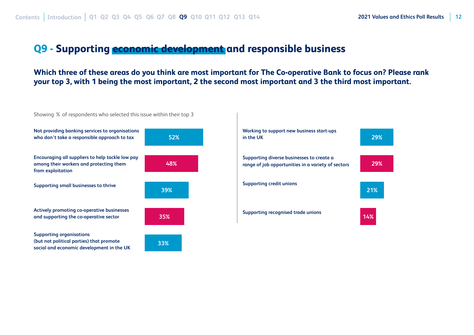#### <span id="page-11-0"></span>**Q9 - Supporting economic development and responsible business**

**Which three of these areas do you think are most important for The Co-operative Bank to focus on? Please rank your top 3, with 1 being the most important, 2 the second most important and 3 the third most important.**



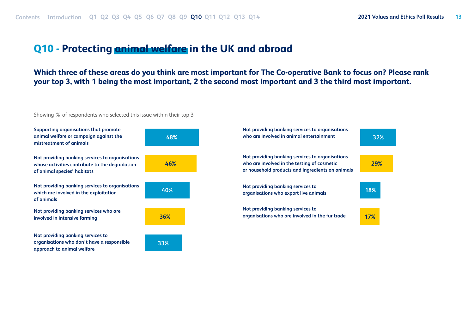**32%**

**29%**

#### <span id="page-12-0"></span>**Q10 - Protecting animal welfare in the UK and abroad**

**Which three of these areas do you think are most important for The Co-operative Bank to focus on? Please rank your top 3, with 1 being the most important, 2 the second most important and 3 the third most important.**

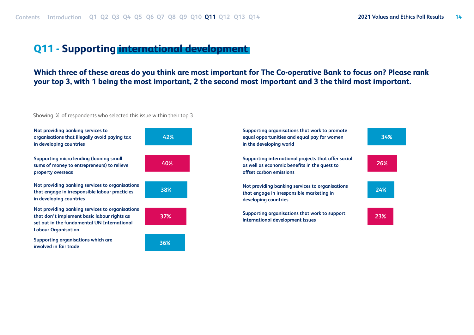#### <span id="page-13-0"></span>**Q11 - Supporting international development**

**Which three of these areas do you think are most important for The Co-operative Bank to focus on? Please rank your top 3, with 1 being the most important, 2 the second most important and 3 the third most important.**

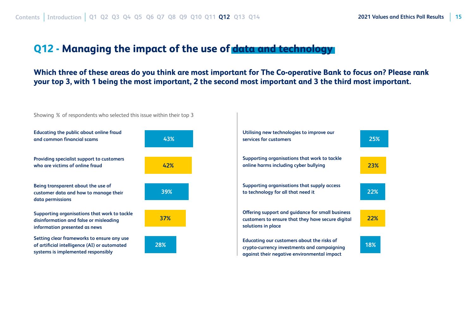#### <span id="page-14-0"></span>**Q12 - Managing the impact of the use of data and technology**

**Which three of these areas do you think are most important for The Co-operative Bank to focus on? Please rank your top 3, with 1 being the most important, 2 the second most important and 3 the third most important.**



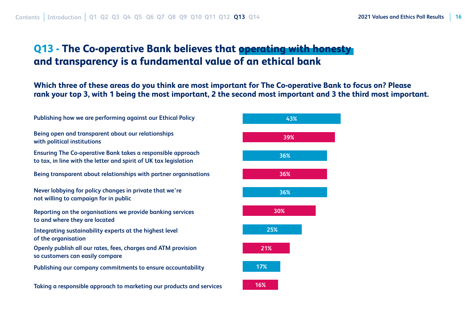### <span id="page-15-0"></span>**Q13 - The Co-operative Bank believes that operating with honesty and transparency is a fundamental value of an ethical bank**

**Which three of these areas do you think are most important for The Co-operative Bank to focus on? Please rank your top 3, with 1 being the most important, 2 the second most important and 3 the third most important.**

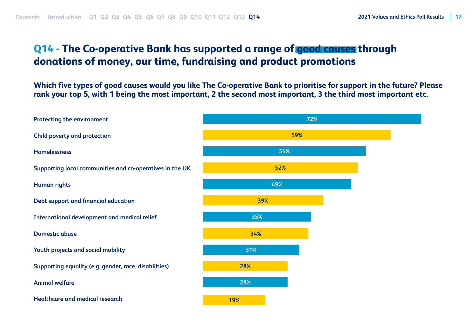### <span id="page-16-0"></span>**Q14 - The Co-operative Bank has supported a range of good causes through donations of money, our time, fundraising and product promotions**

**Which five types of good causes would you like The Co-operative Bank to prioritise for support in the future? Please rank your top 5, with 1 being the most important, 2 the second most important, 3 the third most important etc.**